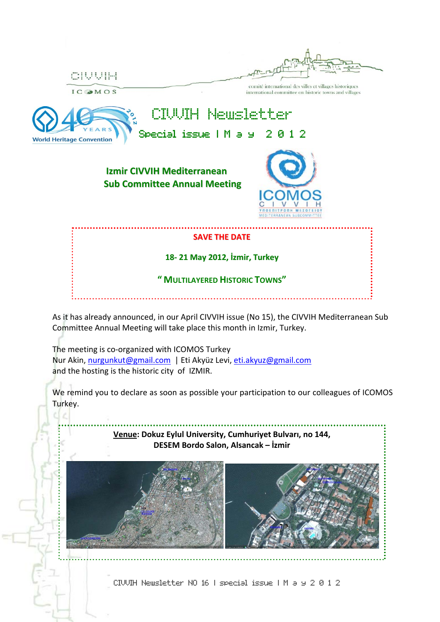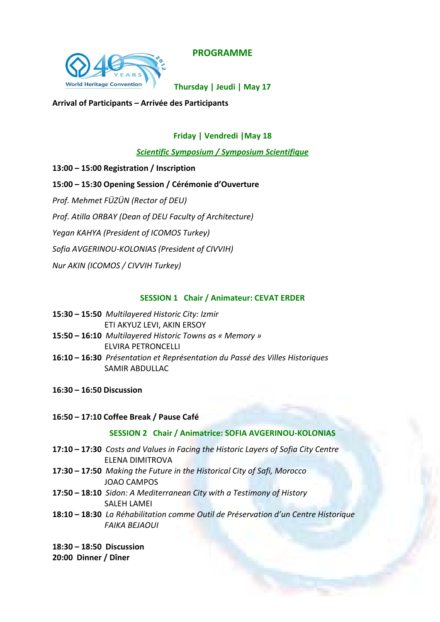**PROGRAMME**



**Thursday | Jeudi | May 17**

**Arrival of Participants – Arrivée des Participants**

## **Friday | Vendredi |May 18**

*Scientific Symposium / Symposium Scientifique*

**13:00 – 15:00 Registration / Inscription**

**15:00 – 15:30 Opening Session / Cérémonie d'Ouverture** 

*Prof. Mehmet FÜZÜN (Rector of DEU)*

*Prof. Atilla ORBAY (Dean of DEU Faculty of Architecture)*

*Yegan KAHYA (President of ICOMOS Turkey)*

*Sofia AVGERINOU‐KOLONIAS (President of CIVVIH)*

*Nur AKIN (ICOMOS / CIVVIH Turkey)*

### **SESSION 1 Chair / Animateur: CEVAT ERDER**

- **15:30 – 15:50** *Multilayered Historic City: Izmir* ETI AKYUZ LEVI, AKIN ERSOY
- **15:50 – 16:10** *Multilayered Historic Towns as « Memory »* ELVIRA PETRONCELLI
- **16:10 – 16:30** *Présentation et Représentation du Passé des Villes Historiques*  SAMIR ABDULLAC
- **16:30 – 16:50 Discussion**

#### **16:50 – 17:10 Coffee Break / Pause Café**

## **SESSION 2 Chair / Animatrice: SOFIA AVGERINOU‐KOLONIAS**

- **17:10 – 17:30** *Costs and Values in Facing the Historic Layers of Sofia City Centre* ELENA DIMITROVA
- **17:30 – 17:50** *Making the Future in the Historical City of Safi, Morocco* JOAO CAMPOS
- **17:50 – 18:10** *Sidon: A Mediterranean City with a Testimony of History* SALEH LAMEI
- **18:10 – 18:30** *La Réhabilitation comme Outil de Préservation d'un Centre Historique FAIKA BEJAOUI*
- **18:30 – 18:50 Discussion**

**20:00 Dinner / Dîner**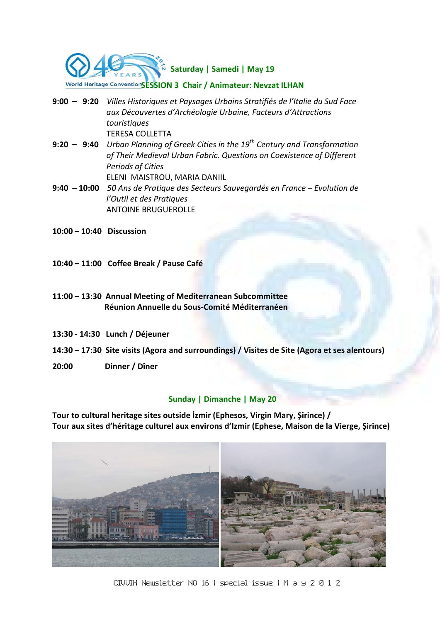

- **9:00 – 9:20** *Villes Historiques et Paysages Urbains Stratifiés de l'Italie du Sud Face aux Découvertes d'Archéologie Urbaine, Facteurs d'Attractions touristiques*  TERESA COLLETTA
- **9:20 – 9:40** *Urban Planning of Greek Cities in the 19th Century and Transformation of Their Medieval Urban Fabric. Questions on Coexistence of Different Periods of Cities* ELENI MAISTROU, MARIA DANIIL
- **9:40 – 10:00** *50 Ans de Pratique des Secteurs Sauvegardés en France – Evolution de l'Outil et des Pratiques*  ANTOINE BRUGUEROLLE
- **10:00 – 10:40 Discussion**
- **10:40 – 11:00 Coffee Break / Pause Café**
- **11:00 – 13:30 Annual Meeting of Mediterranean Subcommittee Réunion Annuelle du Sous‐Comité Méditerranéen**
- **13:30 ‐ 14:30 Lunch / Déjeuner**
- 14:30 17:30 Site visits (Agora and surroundings) / Visites de Site (Agora et ses alentours)
- **20:00 Dinner / Dîner**

#### **Sunday | Dimanche | May 20**

**Tour to cultural heritage sites outside İzmir (Ephesos, Virgin Mary, Şirince) / Tour aux sites d'héritage culturel aux environs d'Izmir (Ephese, Maison de la Vierge, Şirince)** 



CIVVIH Newsletter NO 16 | special issue | M a y 2 0 1 2